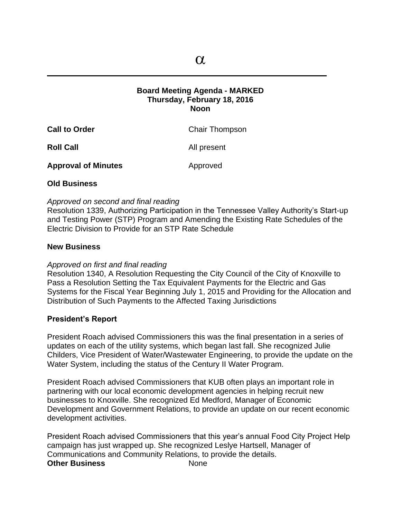$\mathcal{L}_\mathcal{L} = \mathcal{L}_\mathcal{L}$  , where  $\mathcal{L}_\mathcal{L} = \mathcal{L}_\mathcal{L}$  ,  $\mathcal{L}_\mathcal{L} = \mathcal{L}_\mathcal{L}$  ,  $\mathcal{L}_\mathcal{L} = \mathcal{L}_\mathcal{L}$  ,  $\mathcal{L}_\mathcal{L} = \mathcal{L}_\mathcal{L}$  ,  $\mathcal{L}_\mathcal{L} = \mathcal{L}_\mathcal{L}$ 

## **Board Meeting Agenda - MARKED Thursday, February 18, 2016 Noon**

| <b>Call to Order</b> | <b>Chair Thompson</b> |
|----------------------|-----------------------|
| <b>Roll Call</b>     | All present           |

**Approval of Minutes Approved** 

# **Old Business**

### *Approved on second and final reading*

Resolution 1339, Authorizing Participation in the Tennessee Valley Authority's Start-up and Testing Power (STP) Program and Amending the Existing Rate Schedules of the Electric Division to Provide for an STP Rate Schedule

### **New Business**

# *Approved on first and final reading*

Resolution 1340, A Resolution Requesting the City Council of the City of Knoxville to Pass a Resolution Setting the Tax Equivalent Payments for the Electric and Gas Systems for the Fiscal Year Beginning July 1, 2015 and Providing for the Allocation and Distribution of Such Payments to the Affected Taxing Jurisdictions

# **President's Report**

President Roach advised Commissioners this was the final presentation in a series of updates on each of the utility systems, which began last fall. She recognized Julie Childers, Vice President of Water/Wastewater Engineering, to provide the update on the Water System, including the status of the Century II Water Program.

President Roach advised Commissioners that KUB often plays an important role in partnering with our local economic development agencies in helping recruit new businesses to Knoxville. She recognized Ed Medford, Manager of Economic Development and Government Relations, to provide an update on our recent economic development activities.

President Roach advised Commissioners that this year's annual Food City Project Help campaign has just wrapped up. She recognized Leslye Hartsell, Manager of Communications and Community Relations, to provide the details. **Other Business** None